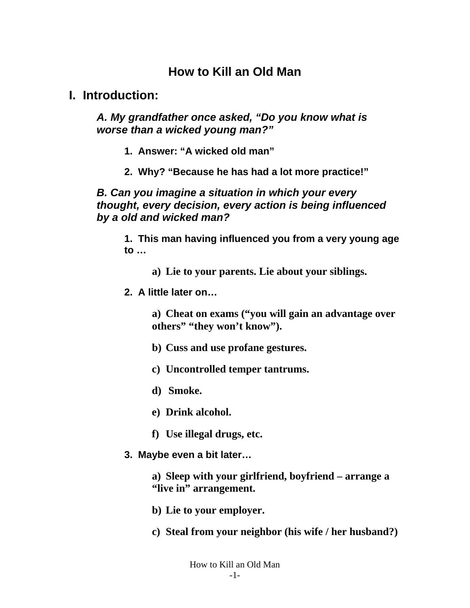## **How to Kill an Old Man**

### **I. Introduction:**

*A. My grandfather once asked, "Do you know what is worse than a wicked young man?"* 

- **1. Answer: "A wicked old man"**
- **2. Why? "Because he has had a lot more practice!"**

*B. Can you imagine a situation in which your every thought, every decision, every action is being influenced by a old and wicked man?* 

**1. This man having influenced you from a very young age to …** 

**a) Lie to your parents. Lie about your siblings.** 

**2. A little later on…** 

**a) Cheat on exams ("you will gain an advantage over others" "they won't know").** 

- **b) Cuss and use profane gestures.**
- **c) Uncontrolled temper tantrums.**
- **d) Smoke.**
- **e) Drink alcohol.**
- **f) Use illegal drugs, etc.**
- **3. Maybe even a bit later…**

**a) Sleep with your girlfriend, boyfriend – arrange a "live in" arrangement.** 

- **b) Lie to your employer.**
- **c) Steal from your neighbor (his wife / her husband?)**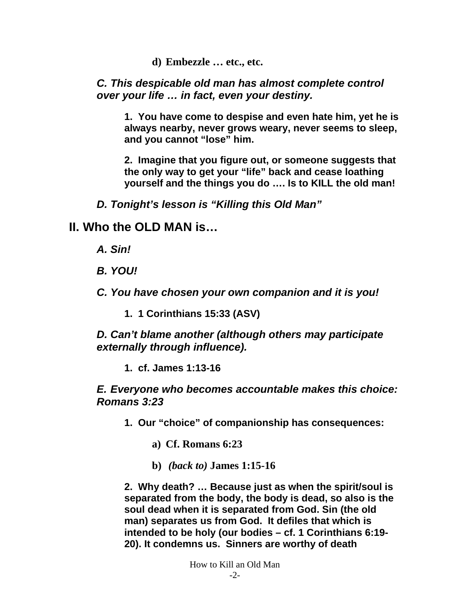**d) Embezzle … etc., etc.** 

#### *C. This despicable old man has almost complete control over your life … in fact, even your destiny.*

**1. You have come to despise and even hate him, yet he is always nearby, never grows weary, never seems to sleep, and you cannot "lose" him.** 

**2. Imagine that you figure out, or someone suggests that the only way to get your "life" back and cease loathing yourself and the things you do …. Is to KILL the old man!** 

*D. Tonight's lesson is "Killing this Old Man"* 

### **II. Who the OLD MAN is…**

- *A. Sin!*
- *B. YOU!*

*C. You have chosen your own companion and it is you!* 

**1. 1 Corinthians 15:33 (ASV)** 

*D. Can't blame another (although others may participate externally through influence).* 

**1. cf. James 1:13-16** 

*E. Everyone who becomes accountable makes this choice: Romans 3:23* 

**1. Our "choice" of companionship has consequences:** 

**a) Cf. Romans 6:23** 

**b)** *(back to)* **James 1:15-16**

**2. Why death? … Because just as when the spirit/soul is separated from the body, the body is dead, so also is the soul dead when it is separated from God. Sin (the old man) separates us from God. It defiles that which is intended to be holy (our bodies – cf. 1 Corinthians 6:19- 20). It condemns us. Sinners are worthy of death**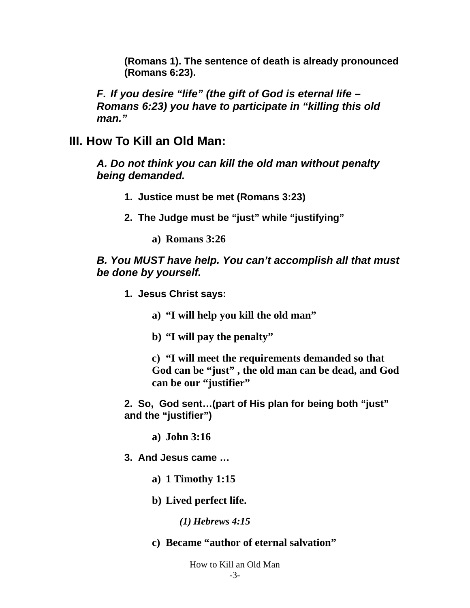**(Romans 1). The sentence of death is already pronounced (Romans 6:23).** 

*F. If you desire "life" (the gift of God is eternal life – Romans 6:23) you have to participate in "killing this old man."* 

#### **III. How To Kill an Old Man:**

*A. Do not think you can kill the old man without penalty being demanded.* 

- **1. Justice must be met (Romans 3:23)**
- **2. The Judge must be "just" while "justifying"** 
	- **a) Romans 3:26**

#### *B. You MUST have help. You can't accomplish all that must be done by yourself.*

- **1. Jesus Christ says:** 
	- **a) "I will help you kill the old man"**
	- **b) "I will pay the penalty"**

**c) "I will meet the requirements demanded so that God can be "just" , the old man can be dead, and God can be our "justifier"** 

**2. So, God sent…(part of His plan for being both "just" and the "justifier")** 

**a) John 3:16** 

**3. And Jesus came …** 

- **a) 1 Timothy 1:15**
- **b) Lived perfect life.**

*(1) Hebrews 4:15* 

**c) Became "author of eternal salvation"** 

How to Kill an Old Man -3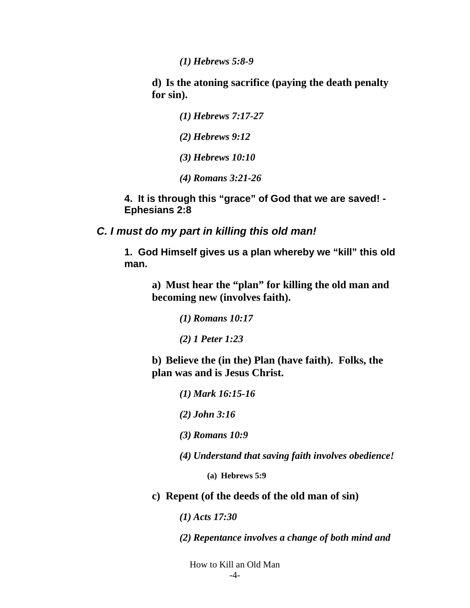*(1) Hebrews 5:8-9* 

**d) Is the atoning sacrifice (paying the death penalty for sin).** 

> *(1) Hebrews 7:17-27 (2) Hebrews 9:12 (3) Hebrews 10:10 (4) Romans 3:21-26*

**4. It is through this "grace" of God that we are saved! - Ephesians 2:8** 

*C. I must do my part in killing this old man!* 

**1. God Himself gives us a plan whereby we "kill" this old man.** 

**a) Must hear the "plan" for killing the old man and becoming new (involves faith).** 

*(1) Romans 10:17* 

*(2) 1 Peter 1:23* 

**b) Believe the (in the) Plan (have faith). Folks, the plan was and is Jesus Christ.** 

*(1) Mark 16:15-16* 

*(2) John 3:16* 

*(3) Romans 10:9* 

*(4) Understand that saving faith involves obedience!* 

**(a) Hebrews 5:9** 

**c) Repent (of the deeds of the old man of sin)** 

*(1) Acts 17:30* 

*(2) Repentance involves a change of both mind and* 

How to Kill an Old Man -4